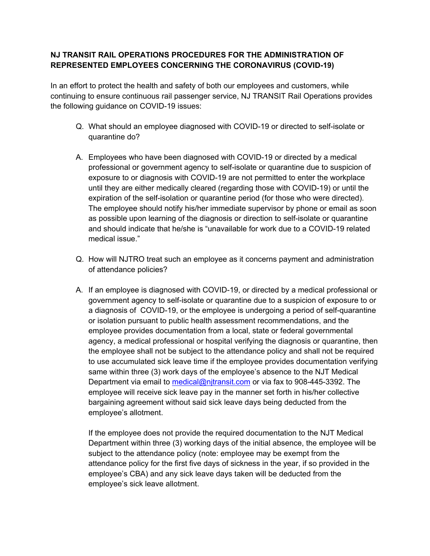## **NJ TRANSIT RAIL OPERATIONS PROCEDURES FOR THE ADMINISTRATION OF REPRESENTED EMPLOYEES CONCERNING THE CORONAVIRUS (COVID-19)**

In an effort to protect the health and safety of both our employees and customers, while continuing to ensure continuous rail passenger service, NJ TRANSIT Rail Operations provides the following guidance on COVID-19 issues:

- Q. What should an employee diagnosed with COVID-19 or directed to self-isolate or quarantine do?
- A. Employees who have been diagnosed with COVID-19 or directed by a medical professional or government agency to self-isolate or quarantine due to suspicion of exposure to or diagnosis with COVID-19 are not permitted to enter the workplace until they are either medically cleared (regarding those with COVID-19) or until the expiration of the self-isolation or quarantine period (for those who were directed). The employee should notify his/her immediate supervisor by phone or email as soon as possible upon learning of the diagnosis or direction to self-isolate or quarantine and should indicate that he/she is "unavailable for work due to a COVID-19 related medical issue."
- Q. How will NJTRO treat such an employee as it concerns payment and administration of attendance policies?
- A. If an employee is diagnosed with COVID-19, or directed by a medical professional or government agency to self-isolate or quarantine due to a suspicion of exposure to or a diagnosis of COVID-19, or the employee is undergoing a period of self-quarantine or isolation pursuant to public health assessment recommendations, and the employee provides documentation from a local, state or federal governmental agency, a medical professional or hospital verifying the diagnosis or quarantine, then the employee shall not be subject to the attendance policy and shall not be required to use accumulated sick leave time if the employee provides documentation verifying same within three (3) work days of the employee's absence to the NJT Medical Department via email to medical@njtransit.com or via fax to 908-445-3392. The employee will receive sick leave pay in the manner set forth in his/her collective bargaining agreement without said sick leave days being deducted from the employee's allotment.

If the employee does not provide the required documentation to the NJT Medical Department within three (3) working days of the initial absence, the employee will be subject to the attendance policy (note: employee may be exempt from the attendance policy for the first five days of sickness in the year, if so provided in the employee's CBA) and any sick leave days taken will be deducted from the employee's sick leave allotment.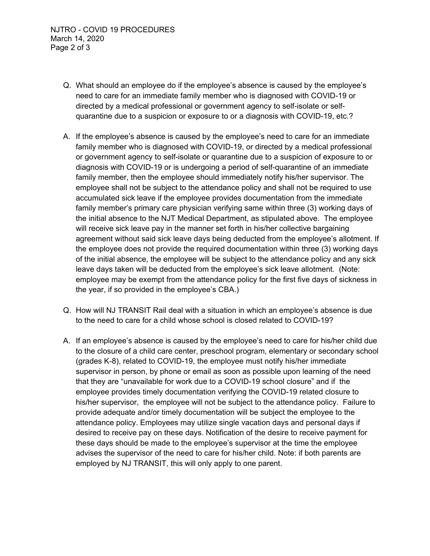- Q. What should an employee do if the employee's absence is caused by the employee's need to care for an immediate family member who is diagnosed with COVID-19 or directed by a medical professional or government agency to self-isolate or selfquarantine due to a suspicion or exposure to or a diagnosis with COVID-19, etc.?
- A. If the employee's absence is caused by the employee's need to care for an immediate family member who is diagnosed with COVID-19, or directed by a medical professional or government agency to self-isolate or quarantine due to a suspicion of exposure to or diagnosis with COVID-19 or is undergoing a period of self-quarantine of an immediate family member, then the employee should immediately notify his/her supervisor. The employee shall not be subject to the attendance policy and shall not be required to use accumulated sick leave if the employee provides documentation from the immediate family member's primary care physician verifying same within three (3) working days of the initial absence to the NJT Medical Department, as stipulated above. The employee will receive sick leave pay in the manner set forth in his/her collective bargaining agreement without said sick leave days being deducted from the employee's allotment. If the employee does not provide the required documentation within three (3) working days of the initial absence, the employee will be subject to the attendance policy and any sick leave days taken will be deducted from the employee's sick leave allotment. (Note: employee may be exempt from the attendance policy for the first five days of sickness in the year, if so provided in the employee's CBA.)
- Q. How will NJ TRANSIT Rail deal with a situation in which an employee's absence is due to the need to care for a child whose school is closed related to COVID-19?
- A. If an employee's absence is caused by the employee's need to care for his/her child due to the closure of a child care center, preschool program, elementary or secondary school (grades K-8), related to COVID-19, the employee must notify his/her immediate supervisor in person, by phone or email as soon as possible upon learning of the need that they are "unavailable for work due to a COVID-19 school closure" and if the employee provides timely documentation verifying the COVID-19 related closure to his/her supervisor, the employee will not be subject to the attendance policy. Failure to provide adequate and/or timely documentation will be subject the employee to the attendance policy. Employees may utilize single vacation days and personal days if desired to receive pay on these days. Notification of the desire to receive payment for these days should be made to the employee's supervisor at the time the employee advises the supervisor of the need to care for his/her child. Note: if both parents are employed by NJ TRANSIT, this will only apply to one parent.